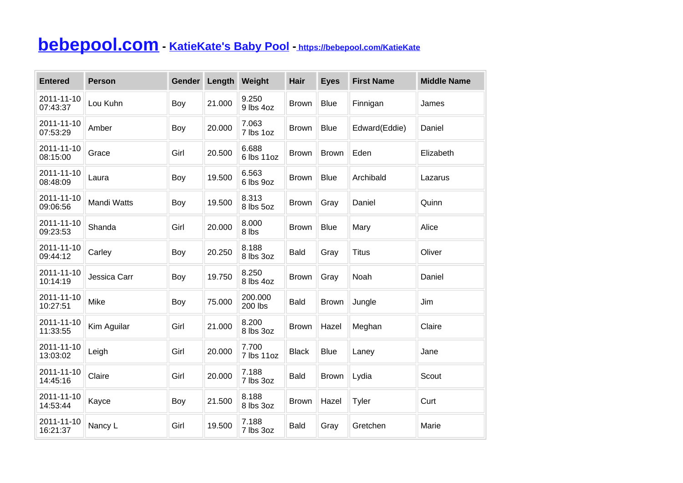## **[bebepool.com](https://bebepool.com) - [KatieKate's Baby Pool](https://bebepool.com/KatieKate) -<https://bebepool.com/KatieKate>**

| <b>Entered</b>         | <b>Person</b> | Gender | Length | Weight              | Hair         | <b>Eyes</b>  | <b>First Name</b> | <b>Middle Name</b> |
|------------------------|---------------|--------|--------|---------------------|--------------|--------------|-------------------|--------------------|
| 2011-11-10<br>07:43:37 | Lou Kuhn      | Boy    | 21.000 | 9.250<br>9 lbs 4oz  | <b>Brown</b> | <b>Blue</b>  | Finnigan          | James              |
| 2011-11-10<br>07:53:29 | Amber         | Boy    | 20.000 | 7.063<br>7 lbs 1oz  | <b>Brown</b> | <b>Blue</b>  | Edward(Eddie)     | Daniel             |
| 2011-11-10<br>08:15:00 | Grace         | Girl   | 20.500 | 6.688<br>6 lbs 11oz | <b>Brown</b> | <b>Brown</b> | Eden              | Elizabeth          |
| 2011-11-10<br>08:48:09 | Laura         | Boy    | 19.500 | 6.563<br>6 lbs 9oz  | <b>Brown</b> | <b>Blue</b>  | Archibald         | Lazarus            |
| 2011-11-10<br>09:06:56 | Mandi Watts   | Boy    | 19.500 | 8.313<br>8 lbs 5oz  | <b>Brown</b> | Gray         | Daniel            | Quinn              |
| 2011-11-10<br>09:23:53 | Shanda        | Girl   | 20.000 | 8.000<br>8 lbs      | <b>Brown</b> | <b>Blue</b>  | Mary              | Alice              |
| 2011-11-10<br>09:44:12 | Carley        | Boy    | 20.250 | 8.188<br>8 lbs 3oz  | <b>Bald</b>  | Gray         | <b>Titus</b>      | Oliver             |
| 2011-11-10<br>10:14:19 | Jessica Carr  | Boy    | 19.750 | 8.250<br>8 lbs 4oz  | <b>Brown</b> | Gray         | Noah              | Daniel             |
| 2011-11-10<br>10:27:51 | Mike          | Boy    | 75.000 | 200.000<br>200 lbs  | <b>Bald</b>  | <b>Brown</b> | Jungle            | Jim                |
| 2011-11-10<br>11:33:55 | Kim Aguilar   | Girl   | 21.000 | 8.200<br>8 lbs 3oz  | <b>Brown</b> | Hazel        | Meghan            | Claire             |
| 2011-11-10<br>13:03:02 | Leigh         | Girl   | 20.000 | 7.700<br>7 lbs 11oz | <b>Black</b> | <b>Blue</b>  | Laney             | Jane               |
| 2011-11-10<br>14:45:16 | Claire        | Girl   | 20.000 | 7.188<br>7 lbs 3oz  | <b>Bald</b>  | <b>Brown</b> | Lydia             | Scout              |
| 2011-11-10<br>14:53:44 | Kayce         | Boy    | 21.500 | 8.188<br>8 lbs 3oz  | <b>Brown</b> | Hazel        | Tyler             | Curt               |
| 2011-11-10<br>16:21:37 | Nancy L       | Girl   | 19.500 | 7.188<br>7 lbs 3oz  | <b>Bald</b>  | Gray         | Gretchen          | Marie              |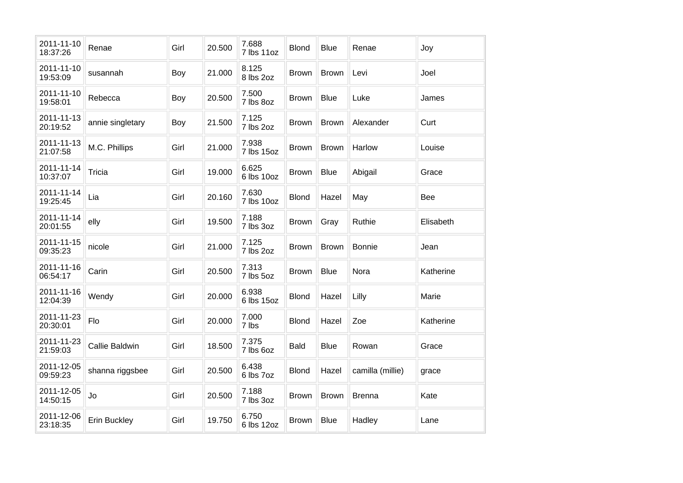| 2011-11-10<br>18:37:26 | Renae                 | Girl | 20.500 | 7.688<br>7 lbs 11oz | <b>Blond</b> | <b>Blue</b>  | Renae            | Joy        |
|------------------------|-----------------------|------|--------|---------------------|--------------|--------------|------------------|------------|
| 2011-11-10<br>19:53:09 | susannah              | Boy  | 21.000 | 8.125<br>8 lbs 2oz  | <b>Brown</b> | <b>Brown</b> | Levi             | Joel       |
| 2011-11-10<br>19:58:01 | Rebecca               | Boy  | 20.500 | 7.500<br>7 lbs 8oz  | Brown        | <b>Blue</b>  | Luke             | James      |
| 2011-11-13<br>20:19:52 | annie singletary      | Boy  | 21.500 | 7.125<br>7 lbs 2oz  | <b>Brown</b> | Brown        | Alexander        | Curt       |
| 2011-11-13<br>21:07:58 | M.C. Phillips         | Girl | 21.000 | 7.938<br>7 lbs 15oz | <b>Brown</b> | <b>Brown</b> | Harlow           | Louise     |
| 2011-11-14<br>10:37:07 | Tricia                | Girl | 19.000 | 6.625<br>6 lbs 10oz | <b>Brown</b> | <b>Blue</b>  | Abigail          | Grace      |
| 2011-11-14<br>19:25:45 | Lia                   | Girl | 20.160 | 7.630<br>7 lbs 10oz | <b>Blond</b> | Hazel        | May              | <b>Bee</b> |
| 2011-11-14<br>20:01:55 | elly                  | Girl | 19.500 | 7.188<br>7 lbs 3oz  | <b>Brown</b> | Gray         | Ruthie           | Elisabeth  |
| 2011-11-15<br>09:35:23 | nicole                | Girl | 21.000 | 7.125<br>7 lbs 2oz  | <b>Brown</b> | <b>Brown</b> | <b>Bonnie</b>    | Jean       |
| 2011-11-16<br>06:54:17 | Carin                 | Girl | 20.500 | 7.313<br>7 lbs 5oz  | <b>Brown</b> | <b>Blue</b>  | Nora             | Katherine  |
| 2011-11-16<br>12:04:39 | Wendy                 | Girl | 20.000 | 6.938<br>6 lbs 15oz | <b>Blond</b> | Hazel        | Lilly            | Marie      |
| 2011-11-23<br>20:30:01 | Flo                   | Girl | 20.000 | 7.000<br>7 lbs      | <b>Blond</b> | Hazel        | Zoe              | Katherine  |
| 2011-11-23<br>21:59:03 | <b>Callie Baldwin</b> | Girl | 18.500 | 7.375<br>7 lbs 6oz  | <b>Bald</b>  | <b>Blue</b>  | Rowan            | Grace      |
| 2011-12-05<br>09:59:23 | shanna riggsbee       | Girl | 20.500 | 6.438<br>6 lbs 7oz  | <b>Blond</b> | Hazel        | camilla (millie) | grace      |
| 2011-12-05<br>14:50:15 | Jo                    | Girl | 20.500 | 7.188<br>7 lbs 3oz  | <b>Brown</b> | <b>Brown</b> | <b>Brenna</b>    | Kate       |
| 2011-12-06<br>23:18:35 | Erin Buckley          | Girl | 19.750 | 6.750<br>6 lbs 12oz | <b>Brown</b> | <b>Blue</b>  | Hadley           | Lane       |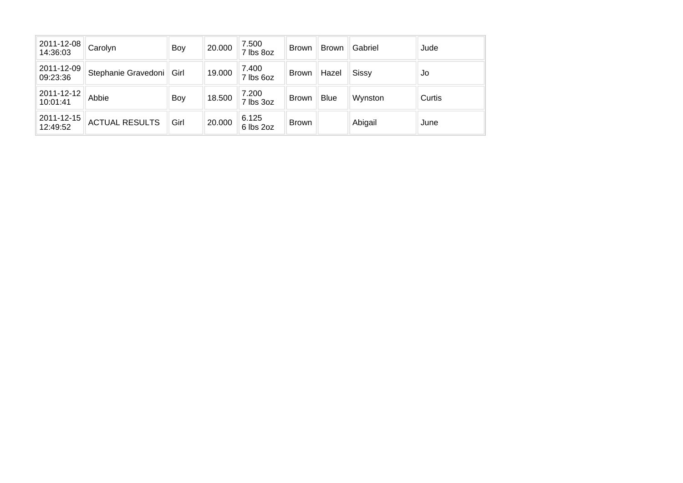| 2011-12-08<br>14:36:03 | Carolyn               | Boy  | 20.000 | 7.500<br>7 lbs 8oz | <b>Brown</b> | <b>Brown</b> | Gabriel      | Jude   |
|------------------------|-----------------------|------|--------|--------------------|--------------|--------------|--------------|--------|
| 2011-12-09<br>09:23:36 | Stephanie Gravedoni   | Girl | 19.000 | 7.400<br>7 lbs 6oz | <b>Brown</b> | Hazel        | <b>Sissy</b> | Jo     |
| 2011-12-12<br>10:01:41 | Abbie                 | Boy  | 18.500 | 7.200<br>7 lbs 3oz | <b>Brown</b> | <b>Blue</b>  | Wynston      | Curtis |
| 2011-12-15<br>12:49:52 | <b>ACTUAL RESULTS</b> | Girl | 20.000 | 6.125<br>6 lbs 2oz | <b>Brown</b> |              | Abigail      | June   |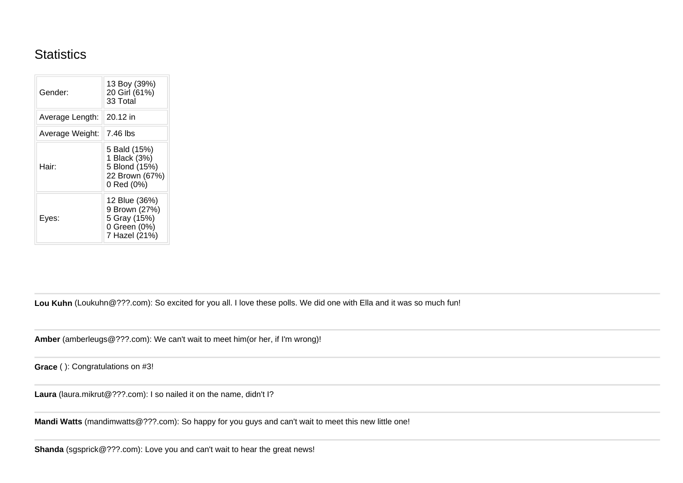## **Statistics**

| Gender:         | 13 Boy (39%)<br>20 Girl (61%)<br>33 Total                                       |
|-----------------|---------------------------------------------------------------------------------|
| Average Length: | 20.12 in                                                                        |
| Average Weight: | 7.46 lbs                                                                        |
| Hair:           | 5 Bald (15%)<br>1 Black (3%)<br>5 Blond (15%)<br>22 Brown (67%)<br>0 Red (0%)   |
| Eyes:           | 12 Blue (36%)<br>9 Brown (27%)<br>5 Gray (15%)<br>0 Green (0%)<br>7 Hazel (21%) |

**Lou Kuhn** (Loukuhn@???.com): So excited for you all. I love these polls. We did one with Ella and it was so much fun!

**Amber** (amberleugs@???.com): We can't wait to meet him(or her, if I'm wrong)!

**Grace** ( ): Congratulations on #3!

**Laura** (laura.mikrut@???.com): I so nailed it on the name, didn't I?

**Mandi Watts** (mandimwatts@???.com): So happy for you guys and can't wait to meet this new little one!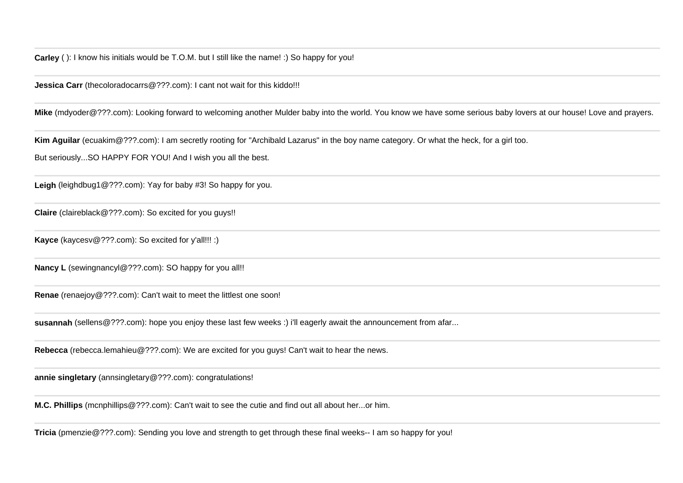**Jessica Carr** (thecoloradocarrs@???.com): I cant not wait for this kiddo!!!

**Mike** (mdyoder@???.com): Looking forward to welcoming another Mulder baby into the world. You know we have some serious baby lovers at our house! Love and prayers.

**Kim Aguilar** (ecuakim@???.com): I am secretly rooting for "Archibald Lazarus" in the boy name category. Or what the heck, for a girl too.

But seriously...SO HAPPY FOR YOU! And I wish you all the best.

**Leigh** (leighdbug1@???.com): Yay for baby #3! So happy for you.

**Claire** (claireblack@???.com): So excited for you guys!!

**Kayce** (kaycesv@???.com): So excited for y'all!!! :)

**Nancy L** (sewingnancyl@???.com): SO happy for you all!!

**Renae** (renaejoy@???.com): Can't wait to meet the littlest one soon!

**susannah** (sellens@???.com): hope you enjoy these last few weeks :) i'll eagerly await the announcement from afar...

**Rebecca** (rebecca.lemahieu@???.com): We are excited for you guys! Can't wait to hear the news.

**annie singletary** (annsingletary@???.com): congratulations!

**M.C. Phillips** (mcnphillips@???.com): Can't wait to see the cutie and find out all about her...or him.

**Tricia** (pmenzie@???.com): Sending you love and strength to get through these final weeks-- I am so happy for you!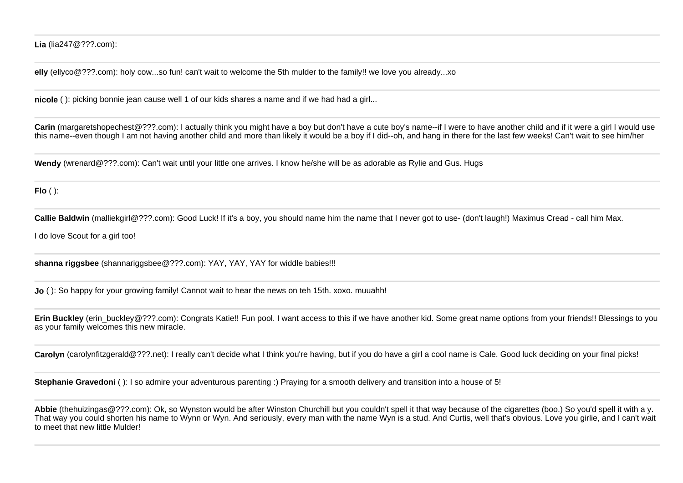**Lia** (lia247@???.com):

**elly** (ellyco@???.com): holy cow...so fun! can't wait to welcome the 5th mulder to the family!! we love you already...xo

**nicole** ( ): picking bonnie jean cause well 1 of our kids shares a name and if we had had a girl...

**Carin** (margaretshopechest@???.com): I actually think you might have a boy but don't have a cute boy's name--if I were to have another child and if it were a girl I would use this name--even though I am not having another child and more than likely it would be a boy if I did--oh, and hang in there for the last few weeks! Can't wait to see him/her

**Wendy** (wrenard@???.com): Can't wait until your little one arrives. I know he/she will be as adorable as Rylie and Gus. Hugs

**Flo** ( ):

**Callie Baldwin** (malliekgirl@???.com): Good Luck! If it's a boy, you should name him the name that I never got to use- (don't laugh!) Maximus Cread - call him Max.

I do love Scout for a girl too!

**shanna riggsbee** (shannariggsbee@???.com): YAY, YAY, YAY for widdle babies!!!

**Jo** ( ): So happy for your growing family! Cannot wait to hear the news on teh 15th. xoxo. muuahh!

**Erin Buckley** (erin buckley@???.com): Congrats Katie!! Fun pool. I want access to this if we have another kid. Some great name options from your friends!! Blessings to you as your family welcomes this new miracle.

Carolyn (carolynfitzgerald@???.net): I really can't decide what I think you're having, but if you do have a girl a cool name is Cale. Good luck deciding on your final picks!

**Stephanie Gravedoni** ( ): I so admire your adventurous parenting :) Praying for a smooth delivery and transition into a house of 5!

**Abbie** (thehuizingas@???.com): Ok, so Wynston would be after Winston Churchill but you couldn't spell it that way because of the cigarettes (boo.) So you'd spell it with a y. That way you could shorten his name to Wynn or Wyn. And seriously, every man with the name Wyn is a stud. And Curtis, well that's obvious, Love you girlie, and I can't wait to meet that new little Mulder!